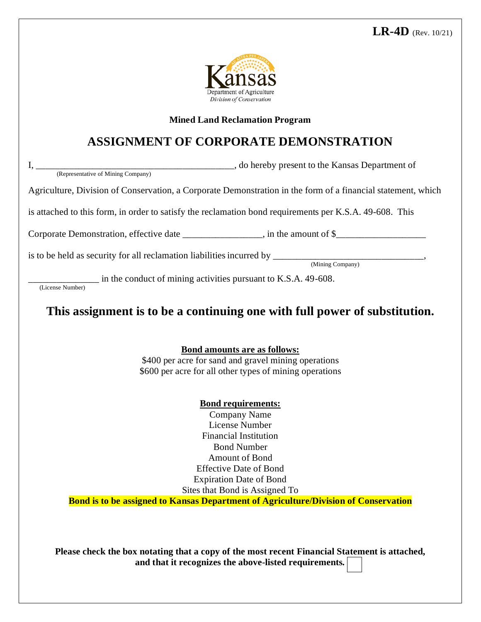

#### **Mined Land Reclamation Program**

# **ASSIGNMENT OF CORPORATE DEMONSTRATION**

I, \_\_\_\_\_\_\_\_\_\_\_\_\_\_\_\_\_\_\_\_\_\_\_\_\_\_\_\_\_\_\_\_\_\_\_\_\_\_\_\_\_\_, do hereby present to the Kansas Department of (Representative of Mining Company)

Agriculture, Division of Conservation, a Corporate Demonstration in the form of a financial statement, which

is attached to this form, in order to satisfy the reclamation bond requirements per K.S.A. 49-608. This

Corporate Demonstration, effective date  $\Box$ , in the amount of \$

is to be held as security for all reclamation liabilitiesincurred by \_\_\_\_\_\_\_\_\_\_\_\_\_\_\_\_\_\_\_\_\_\_\_\_\_\_\_\_\_\_\_\_,

(Mining Company)

 $\frac{1}{(License Number)}$  in the conduct of mining activities pursuant to K.S.A. 49-608.

**This assignment is to be a continuing one with full power of substitution.**

**Bond amounts are as follows:**

\$400 per acre for sand and gravel mining operations \$600 per acre for all other types of mining operations

### **Bond requirements:**

Company Name License Number Financial Institution Bond Number Amount of Bond Effective Date of Bond Expiration Date of Bond Sites that Bond is Assigned To

**Bond is to be assigned to Kansas Department of Agriculture/Division of Conservation**

**Please check the box notating that a copy of the most recent Financial Statement is attached, and that it recognizes the above-listed requirements***.*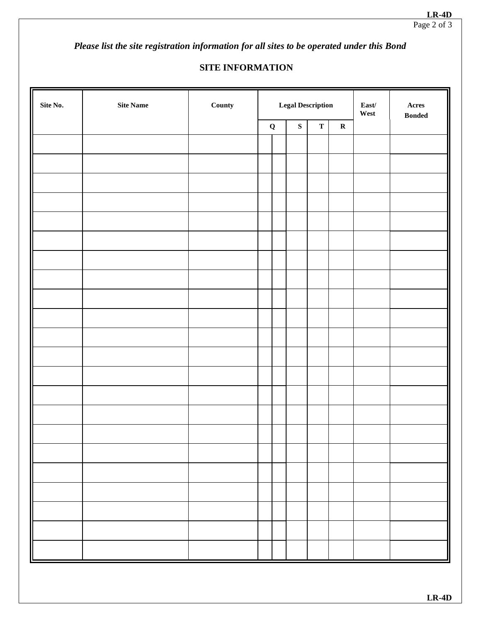*Please list the site registration information for all sites to be operated under this Bond* 

## **SITE INFORMATION**

| Site No. | Site Name | County | <b>Legal Description</b> |  |           |             |             | $\textbf{East}/\textbf{}$<br>West | $\bold{A} \bold{c} \bold{r} \bold{e} \bold{s}$<br>$\boldsymbol{\mathsf{B}}\boldsymbol{\mathsf{onded}}$ |
|----------|-----------|--------|--------------------------|--|-----------|-------------|-------------|-----------------------------------|--------------------------------------------------------------------------------------------------------|
|          |           |        | $\mathbf Q$              |  | ${\bf S}$ | $\mathbf T$ | $\mathbf R$ |                                   |                                                                                                        |
|          |           |        |                          |  |           |             |             |                                   |                                                                                                        |
|          |           |        |                          |  |           |             |             |                                   |                                                                                                        |
|          |           |        |                          |  |           |             |             |                                   |                                                                                                        |
|          |           |        |                          |  |           |             |             |                                   |                                                                                                        |
|          |           |        |                          |  |           |             |             |                                   |                                                                                                        |
|          |           |        |                          |  |           |             |             |                                   |                                                                                                        |
|          |           |        |                          |  |           |             |             |                                   |                                                                                                        |
|          |           |        |                          |  |           |             |             |                                   |                                                                                                        |
|          |           |        |                          |  |           |             |             |                                   |                                                                                                        |
|          |           |        |                          |  |           |             |             |                                   |                                                                                                        |
|          |           |        |                          |  |           |             |             |                                   |                                                                                                        |
|          |           |        |                          |  |           |             |             |                                   |                                                                                                        |
|          |           |        |                          |  |           |             |             |                                   |                                                                                                        |
|          |           |        |                          |  |           |             |             |                                   |                                                                                                        |
|          |           |        |                          |  |           |             |             |                                   |                                                                                                        |
|          |           |        |                          |  |           |             |             |                                   |                                                                                                        |
|          |           |        |                          |  |           |             |             |                                   |                                                                                                        |
|          |           |        |                          |  |           |             |             |                                   |                                                                                                        |
|          |           |        |                          |  |           |             |             |                                   |                                                                                                        |
|          |           |        |                          |  |           |             |             |                                   |                                                                                                        |
|          |           |        |                          |  |           |             |             |                                   |                                                                                                        |
|          |           |        |                          |  |           |             |             |                                   |                                                                                                        |
|          |           |        |                          |  |           |             |             |                                   |                                                                                                        |
|          |           |        |                          |  |           |             |             |                                   |                                                                                                        |
|          |           |        |                          |  |           |             |             |                                   |                                                                                                        |